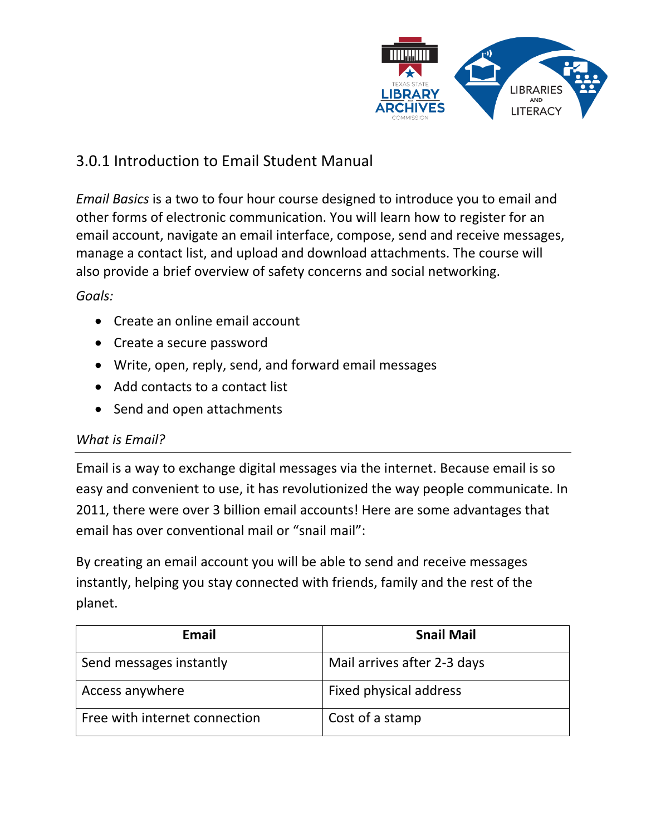

# 3.0.1 Introduction to Email Student Manual

*Email Basics* is a two to four hour course designed to introduce you to email and other forms of electronic communication. You will learn how to register for an email account, navigate an email interface, compose, send and receive messages, manage a contact list, and upload and download attachments. The course will also provide a brief overview of safety concerns and social networking.

*Goals:*

- Create an online email account
- Create a secure password
- Write, open, reply, send, and forward email messages
- Add contacts to a contact list
- Send and open attachments

# *What is Email?*

Email is a way to exchange digital messages via the internet. Because email is so easy and convenient to use, it has revolutionized the way people communicate. In 2011, there were over 3 billion email accounts! Here are some advantages that email has over conventional mail or "snail mail":

By creating an email account you will be able to send and receive messages instantly, helping you stay connected with friends, family and the rest of the planet.

| Email                         | <b>Snail Mail</b>           |
|-------------------------------|-----------------------------|
| Send messages instantly       | Mail arrives after 2-3 days |
| Access anywhere               | Fixed physical address      |
| Free with internet connection | Cost of a stamp             |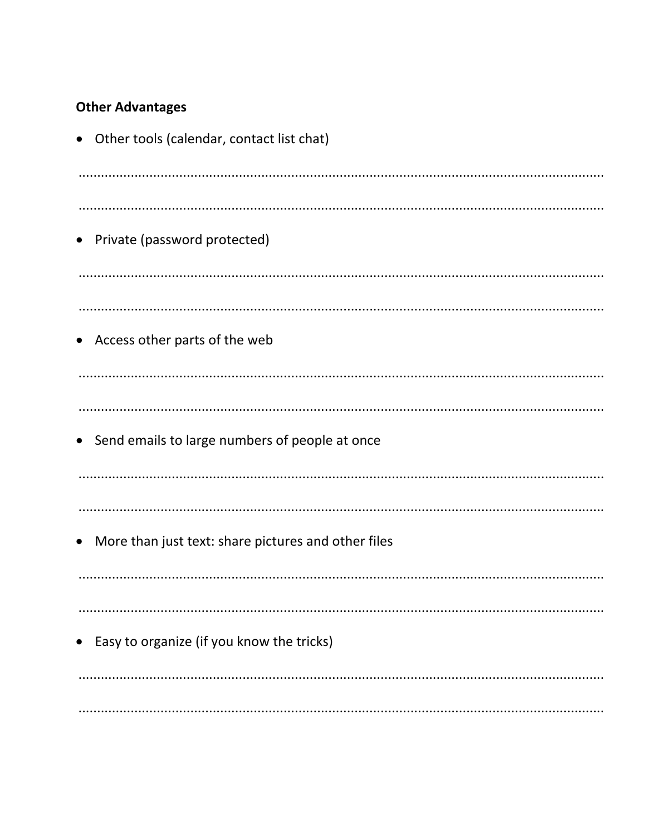# **Other Advantages**

| Other tools (calendar, contact list chat)<br>$\bullet$           |
|------------------------------------------------------------------|
|                                                                  |
| • Private (password protected)                                   |
|                                                                  |
| Access other parts of the web<br>$\bullet$                       |
|                                                                  |
| • Send emails to large numbers of people at once                 |
|                                                                  |
| More than just text: share pictures and other files<br>$\bullet$ |
|                                                                  |
| • Easy to organize (if you know the tricks)                      |
|                                                                  |
|                                                                  |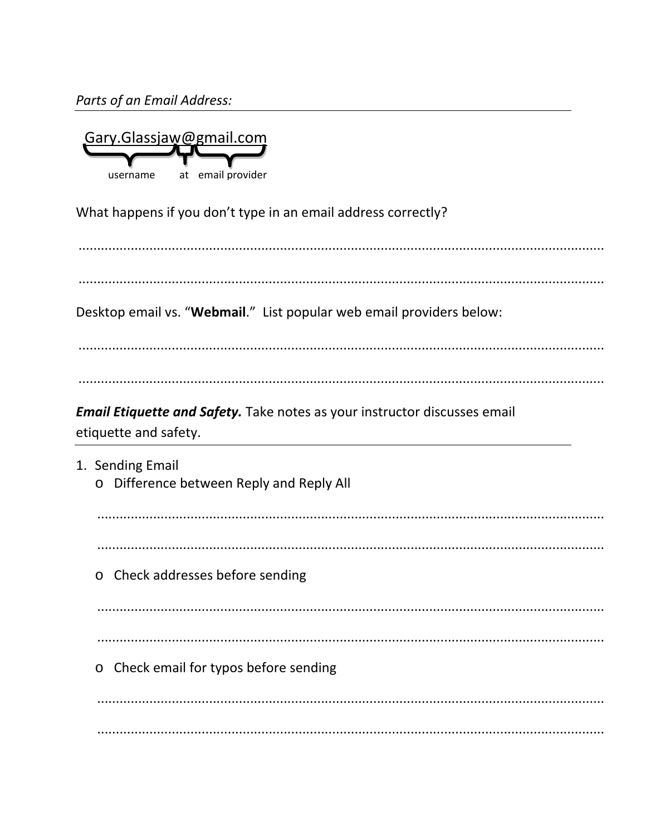Parts of an Email Address:

| Gary.Glassjaw@gmail.com |    |                |  |
|-------------------------|----|----------------|--|
|                         |    |                |  |
| username                | at | email provider |  |

What happens if you don't type in an email address correctly?

Desktop email vs. "Webmail." List popular web email providers below:

Email Etiquette and Safety. Take notes as your instructor discusses email

etiquette and safety.

1. Sending Email o Difference between Reply and Reply All o Check addresses before sending o Check email for typos before sending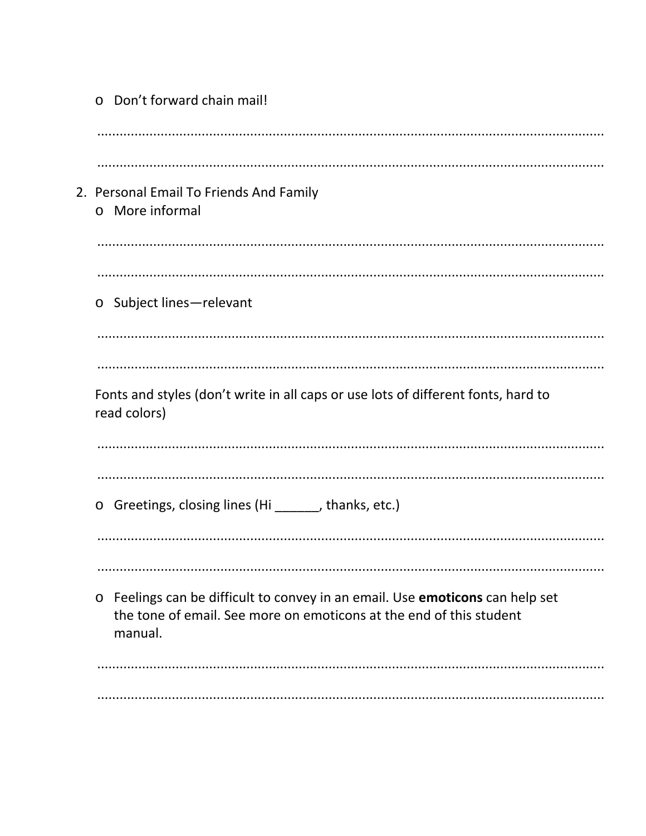| ○ Don't forward chain mail!                                                                                                                                              |
|--------------------------------------------------------------------------------------------------------------------------------------------------------------------------|
|                                                                                                                                                                          |
| 2. Personal Email To Friends And Family<br>o More informal                                                                                                               |
|                                                                                                                                                                          |
| Subject lines-relevant<br>$\circ$                                                                                                                                        |
|                                                                                                                                                                          |
| Fonts and styles (don't write in all caps or use lots of different fonts, hard to<br>read colors)                                                                        |
|                                                                                                                                                                          |
| Greetings, closing lines (Hi ______, thanks, etc.)<br>$\circ$                                                                                                            |
|                                                                                                                                                                          |
|                                                                                                                                                                          |
| Feelings can be difficult to convey in an email. Use emoticons can help set<br>$\circ$<br>the tone of email. See more on emoticons at the end of this student<br>manual. |
|                                                                                                                                                                          |
|                                                                                                                                                                          |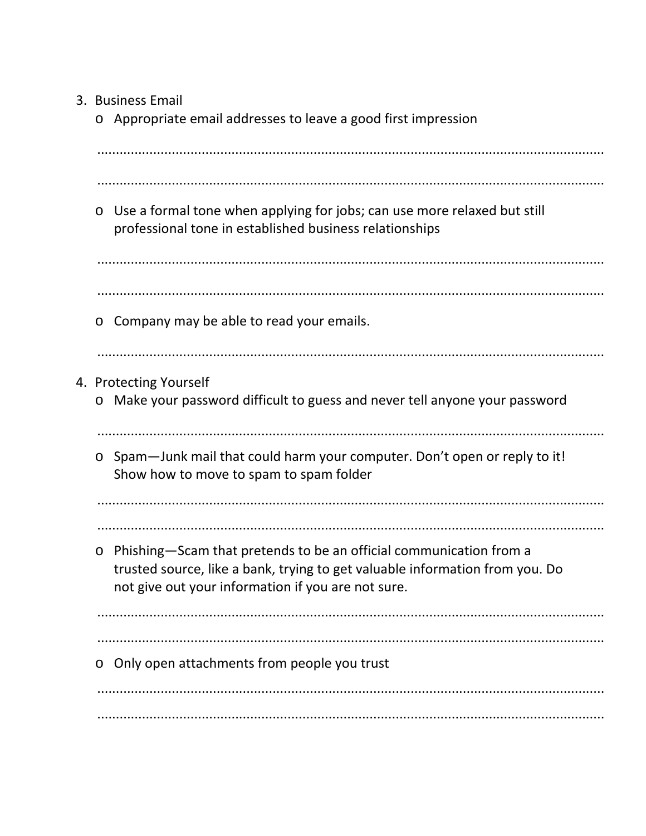- 3. Business Email
	- o Appropriate email addresses to leave a good first impression

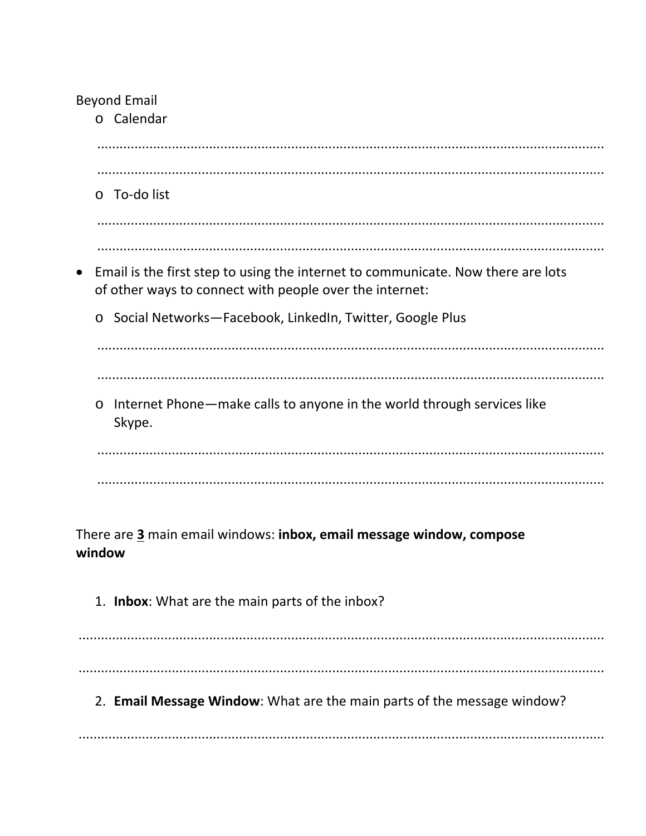# **Beyond Email**

.<br>o Calendar

| To-do list<br>$\circ$                                                                                                                                    |
|----------------------------------------------------------------------------------------------------------------------------------------------------------|
|                                                                                                                                                          |
| Email is the first step to using the internet to communicate. Now there are lots<br>$\bullet$<br>of other ways to connect with people over the internet: |
| Social Networks-Facebook, LinkedIn, Twitter, Google Plus<br>$\circ$                                                                                      |
|                                                                                                                                                          |
|                                                                                                                                                          |
| Internet Phone—make calls to anyone in the world through services like<br>$\circ$<br>Skype.                                                              |
|                                                                                                                                                          |
|                                                                                                                                                          |
|                                                                                                                                                          |
| There are 3 main email windows: inbox, email message window, compose<br>window                                                                           |
| 1. Inbox: What are the main parts of the inbox?                                                                                                          |
|                                                                                                                                                          |
|                                                                                                                                                          |
| 2. Email Message Window: What are the main parts of the message window?                                                                                  |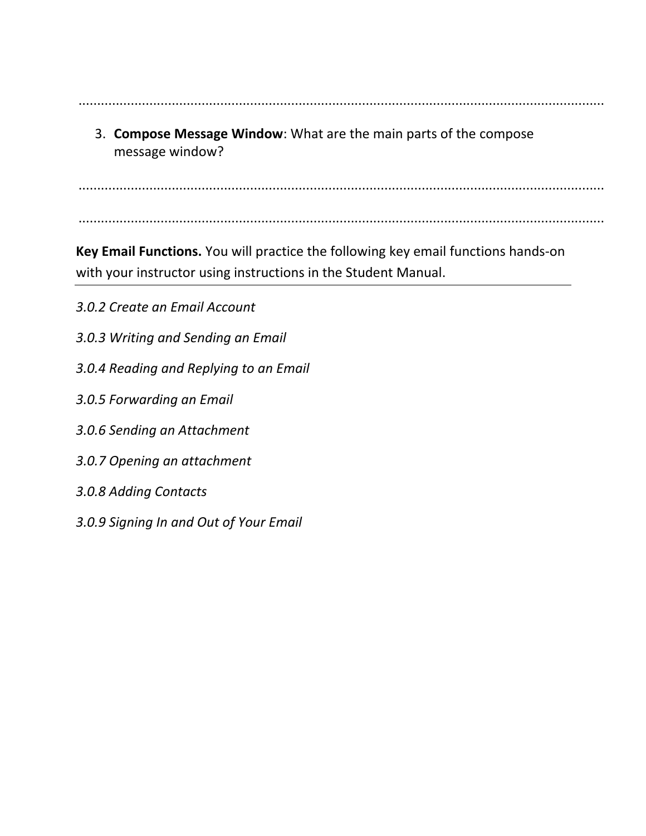3. **Compose Message Window**: What are the main parts of the compose message window?

.............................................................................................................................................

.............................................................................................................................................

**Key Email Functions.** You will practice the following key email functions hands-on

with your instructor using instructions in the Student Manual.

- *3.0.2 Create an Email Account*
- *3.0.3 Writing and Sending an Email*

.............................................................................................................................................

- *3.0.4 Reading and Replying to an Email*
- *3.0.5 Forwarding an Email*
- *3.0.6 Sending an Attachment*
- *3.0.7 Opening an attachment*
- *3.0.8 Adding Contacts*
- *3.0.9 Signing In and Out of Your Email*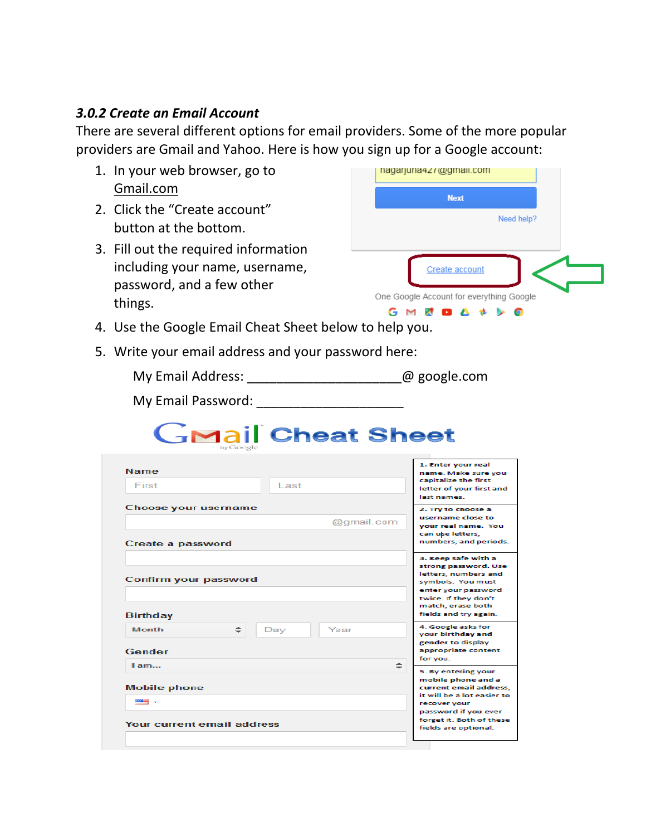# *3.0.2 Create an Email Account*

There are several different options for email providers. Some of the more popular providers are Gmail and Yahoo. Here is how you sign up for a Google account:

| 1. In your web browser, go to                                                                                                                                                                                                  | nagarjuna427@gmail.com                                              |
|--------------------------------------------------------------------------------------------------------------------------------------------------------------------------------------------------------------------------------|---------------------------------------------------------------------|
| Gmail.com                                                                                                                                                                                                                      | <b>Next</b>                                                         |
| 2. Click the "Create account"                                                                                                                                                                                                  | Need help?                                                          |
| button at the bottom.                                                                                                                                                                                                          |                                                                     |
| 3. Fill out the required information                                                                                                                                                                                           |                                                                     |
| including your name, username,                                                                                                                                                                                                 | Create account                                                      |
| password, and a few other<br>things.                                                                                                                                                                                           | One Google Account for everything Google                            |
|                                                                                                                                                                                                                                | GMEDA & bo                                                          |
| 4. Use the Google Email Cheat Sheet below to help you.                                                                                                                                                                         |                                                                     |
| 5. Write your email address and your password here:                                                                                                                                                                            |                                                                     |
| My Email Address: and a compare of the property of the property of the property of the property of the property of the property of the property of the property of the property of the property of the property of the propert |                                                                     |
| My Email Password: New York                                                                                                                                                                                                    |                                                                     |
| <b>GMail Cheat Sheet</b>                                                                                                                                                                                                       |                                                                     |
| <b>Name</b>                                                                                                                                                                                                                    | 1. Enter your real<br>name. Make sure you                           |
| First<br>Last                                                                                                                                                                                                                  | capitalize the first<br>letter of your first and<br>last names.     |
| Choose your username                                                                                                                                                                                                           | 2. Try to choose a<br>username close to                             |
|                                                                                                                                                                                                                                | @gmail.com<br>your real name. You<br>can use letters,               |
| Create a password                                                                                                                                                                                                              | numbers, and periods.                                               |
|                                                                                                                                                                                                                                | 3. Keep safe with a<br>strong password. Use<br>letters, numbers and |
| Confirm your password                                                                                                                                                                                                          | symbols. You must<br>enter your password                            |
| Birthday                                                                                                                                                                                                                       | twice. If they don't<br>match, erase both<br>fields and try again.  |
| ≑<br><b>Month</b><br>Day<br>Year                                                                                                                                                                                               | 4. Google asks for<br>your birthday and                             |
| Gender                                                                                                                                                                                                                         | gender to display                                                   |
|                                                                                                                                                                                                                                | appropriate content                                                 |
| I am                                                                                                                                                                                                                           | for you.<br>÷<br>5. By entering your                                |
| <b>Mobile phone</b>                                                                                                                                                                                                            | mobile phone and a<br>current email address.                        |
| <b>BOARD --</b>                                                                                                                                                                                                                | it will be a lot easier to<br>recover your<br>password if you ever  |
| Your current email address                                                                                                                                                                                                     | forget it. Both of these<br>fields are optional.                    |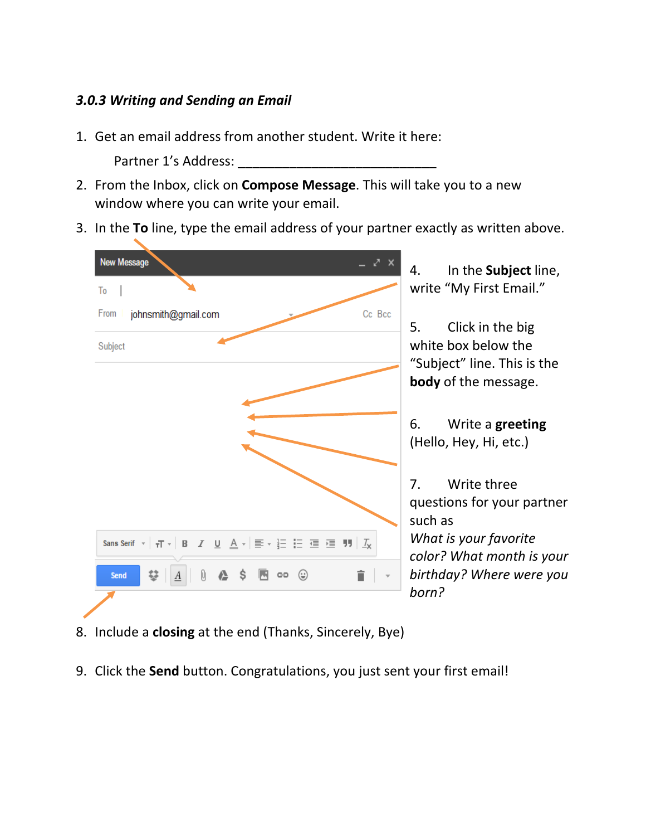#### *3.0.3 Writing and Sending an Email*

1. Get an email address from another student. Write it here:

Partner 1's Address:

- 2. From the Inbox, click on **Compose Message**. This will take you to a new window where you can write your email.
- 3. In the **To** line, type the email address of your partner exactly as written above.



- 8. Include a **closing** at the end (Thanks, Sincerely, Bye)
- 9. Click the **Send** button. Congratulations, you just sent your first email!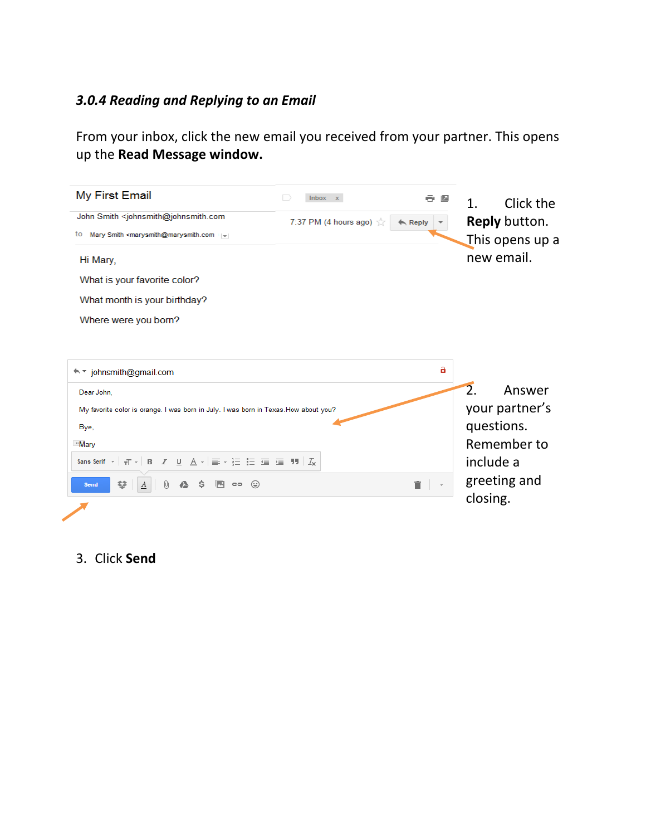# *3.0.4 Reading and Replying to an Email*

From your inbox, click the new email you received from your partner. This opens up the **Read Message window.**

| My First Email                                                                                                                                                                                                                                                                                                                           | D<br>Inbox x                         |                    | Click the<br>1.            |
|------------------------------------------------------------------------------------------------------------------------------------------------------------------------------------------------------------------------------------------------------------------------------------------------------------------------------------------|--------------------------------------|--------------------|----------------------------|
| John Smith <johnsmith@johnsmith.com< td=""><td>7:37 PM (4 hours ago) <math>\frac{1}{20}</math></td><td><math>\leftarrow</math> Reply</td><td><b>Reply button.</b></td></johnsmith@johnsmith.com<>                                                                                                                                        | 7:37 PM (4 hours ago) $\frac{1}{20}$ | $\leftarrow$ Reply | <b>Reply button.</b>       |
| Mary Smith <marysmith@marysmith.com<br>to</marysmith@marysmith.com<br>                                                                                                                                                                                                                                                                   |                                      |                    | This opens up a            |
| Hi Mary,                                                                                                                                                                                                                                                                                                                                 |                                      |                    | new email.                 |
| What is your favorite color?                                                                                                                                                                                                                                                                                                             |                                      |                    |                            |
| What month is your birthday?                                                                                                                                                                                                                                                                                                             |                                      |                    |                            |
| Where were you born?                                                                                                                                                                                                                                                                                                                     |                                      |                    |                            |
|                                                                                                                                                                                                                                                                                                                                          |                                      |                    |                            |
|                                                                                                                                                                                                                                                                                                                                          |                                      |                    |                            |
| ← * johnsmith@gmail.com                                                                                                                                                                                                                                                                                                                  |                                      | a                  |                            |
| Dear John,                                                                                                                                                                                                                                                                                                                               |                                      |                    | $\overline{2}$ .<br>Answer |
| My favorite color is orange. I was born in July. I was born in Texas. How about you?                                                                                                                                                                                                                                                     |                                      |                    | your partner's             |
| Bye,                                                                                                                                                                                                                                                                                                                                     |                                      |                    | questions.                 |
| <b>Mary</b>                                                                                                                                                                                                                                                                                                                              |                                      |                    | Remember to                |
| Sans Serif $\mathbf{v}$ $\mathbf{r}$ $\mathbf{r}$ $\mathbf{B}$ $I$ $\underline{\mathbf{U}}$ $\underline{\mathbf{A}}$ $\mathbf{v}$ $\mathbf{r}$ $\mathbf{v}$ $\mathbf{r}$ $\mathbf{v}$ $\mathbf{v}$ $\mathbf{v}$ $\mathbf{v}$ $\mathbf{v}$ $\mathbf{v}$ $\mathbf{v}$ $\mathbf{v}$ $\mathbf{v}$ $\mathbf{v}$ $\mathbf{v}$ $\mathbf{v}$ $\$ |                                      |                    | include a                  |
| Ç.<br>0<br>$\triangle$ \$<br>$\odot$<br>$\boldsymbol{A}$<br>$G-1$<br><b>Send</b>                                                                                                                                                                                                                                                         |                                      | î                  | greeting and               |
|                                                                                                                                                                                                                                                                                                                                          |                                      |                    | closing.                   |
|                                                                                                                                                                                                                                                                                                                                          |                                      |                    |                            |

3. Click **Send**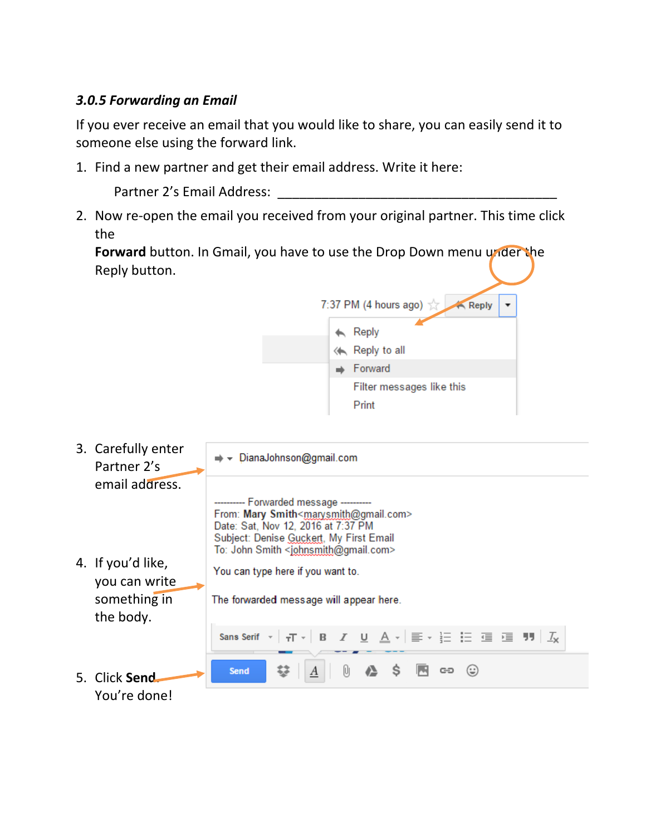### *3.0.5 Forwarding an Email*

If you ever receive an email that you would like to share, you can easily send it to someone else using the forward link.

1. Find a new partner and get their email address. Write it here:

Partner 2's Email Address:

2. Now re-open the email you received from your original partner. This time click the

**Forward** button. In Gmail, you have to use the Drop Down menu under the Reply button.

 $7:37$  PM (4 hours ago)

Filter messages like this

 $\mathsf{R}$  Reply Reply to all  $\Rightarrow$  Forward

**Reply** 

Print 3. Carefully enter → DianaJohnson@gmail.com Partner 2's email address. -- Forwarded message --From: Mary Smith<marysmith@gmail.com> Date: Sat, Nov 12, 2016 at 7:37 PM Subject: Denise Guckert, My First Email To: John Smith <johnsmith@gmail.com> 4. If you'd like, You can type here if you want to. you can write something in The forwarded message will appear here. the body. Sans Serif ~  $\tau T = B$ U A - | ≣ - 는 는 글 글 門 | <u>7</u> I Send ො (ෙ 0 Æ S 5. Click **Send**. You're done!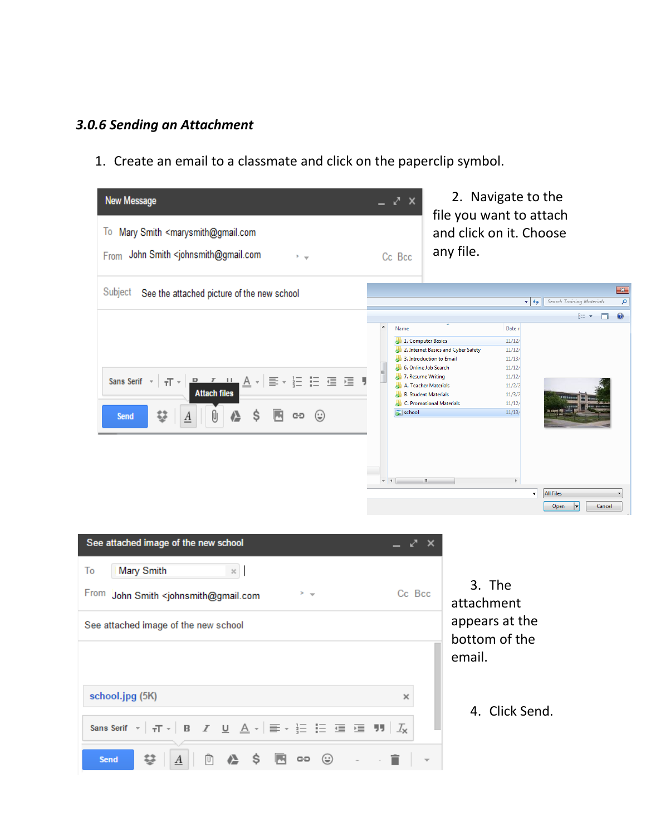# *3.0.6 Sending an Attachment*

1. Create an email to a classmate and click on the paperclip symbol.

| Mary Smith <marysmith@gmail.com<br>Iо<br/>John Smith <johnsmith@gmail.com<br>From<br/><math>2 - \frac{1}{2}</math></johnsmith@gmail.com<br></marysmith@gmail.com<br>                 |                           |                                               | file you want to attach                                                                                                                                                                          | 2. Navigate to the                                                                                                        |                                |                              |
|--------------------------------------------------------------------------------------------------------------------------------------------------------------------------------------|---------------------------|-----------------------------------------------|--------------------------------------------------------------------------------------------------------------------------------------------------------------------------------------------------|---------------------------------------------------------------------------------------------------------------------------|--------------------------------|------------------------------|
|                                                                                                                                                                                      | Cc Bcc                    |                                               | and click on it. Choose<br>any file.                                                                                                                                                             |                                                                                                                           |                                |                              |
| Subject<br>See the attached picture of the new school                                                                                                                                |                           |                                               |                                                                                                                                                                                                  | $\mathbf{v}$ $\mathbf{t}$                                                                                                 | Search Training Materials      | $\overline{\mathbf{x}}$<br>م |
| <u>. • • · · A</u> ·   ≣ · }Ξ :Ξ ։ • • • • •<br>Sans Serif $\mathbf{v}$ $\mathbf{v}$ $\mathbf{v}$<br><b>Attach files</b><br>婺<br>O<br>Ŝ<br>⊕<br>GĐ<br><b>Send</b><br>$\underline{A}$ | Name<br>$\equiv$<br>$+ +$ | 7. Resume Writing<br>school<br>$\mathbf{H}$ . | 1. Computer Basics<br>2. Internet Basics and Cyber Safety<br>3. Introduction to Email<br>6. Online Job Search<br>A. Teacher Materials<br><b>B. Student Materials</b><br>C. Promotional Materials | Date r<br>11/12/<br>11/12/<br>11/13/<br>11/12/<br>11/12/<br>11/2/2<br>11/3/2<br>11/12/<br>11/13/<br>$\blacktriangleright$ | 888 ▼<br>п<br><b>All Files</b> | $\circledR$                  |

| See attached image of the new school                                                                                                                                                                                                                                                                                                          | = 7 x  |               |
|-----------------------------------------------------------------------------------------------------------------------------------------------------------------------------------------------------------------------------------------------------------------------------------------------------------------------------------------------|--------|---------------|
| To<br>Mary Smith<br>$\mathbf{x}$                                                                                                                                                                                                                                                                                                              |        |               |
| From John Smith <johnsmith@gmail.com<br><math>&gt;</math> <math>-</math></johnsmith@gmail.com<br>                                                                                                                                                                                                                                             | Cc Bcc | 3.<br>attac   |
| See attached image of the new school                                                                                                                                                                                                                                                                                                          |        | appe<br>botto |
|                                                                                                                                                                                                                                                                                                                                               |        | emai          |
| school.jpg (5K)                                                                                                                                                                                                                                                                                                                               | ×      | 4.            |
| Sans Serif $\mathbf{v}$   $\mathbf{r}$   $\mathbf{B}$   $\mathbf{Z}$   $\underline{\mathbf{U}}$   $\underline{\mathbf{A}}$ $\mathbf{v}$   $\overline{\mathbf{E}}$ $\mathbf{v}$ $\overline{\mathbf{H}}$   $\underline{\mathbf{E}}$   $\underline{\mathbf{H}}$   $\underline{\mathbf{I}}$   $\underline{\mathbf{I}}$   $\underline{\mathbf{I}}$ |        |               |
| <b>① ▲ \$ 图 ∞ ☺ . .盲</b><br>$\underline{A}$<br><b>Send</b>                                                                                                                                                                                                                                                                                    |        |               |

3. The chment ears at the om of the il.

4. Click Send.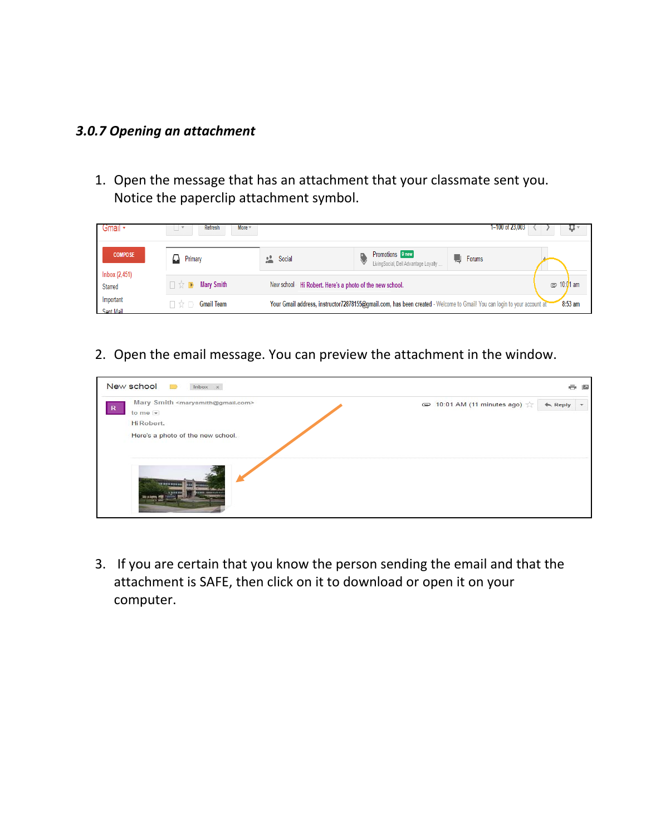#### *3.0.7 Opening an attachment*

1. Open the message that has an attachment that your classmate sent you. Notice the paperclip attachment symbol.



2. Open the email message. You can preview the attachment in the window.



3. If you are certain that you know the person sending the email and that the attachment is SAFE, then click on it to download or open it on your computer.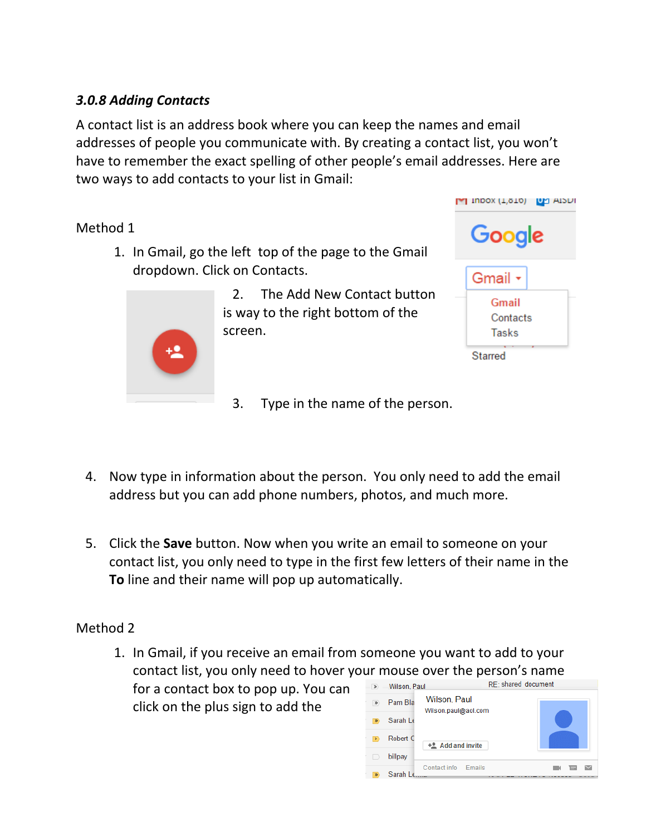# *3.0.8 Adding Contacts*

A contact list is an address book where you can keep the names and email addresses of people you communicate with. By creating a contact list, you won't have to remember the exact spelling of other people's email addresses. Here are two ways to add contacts to your list in Gmail:

# Method 1

1. In Gmail, go the left top of the page to the Gmail dropdown. Click on Contacts.



2. The Add New Contact button is way to the right bottom of the screen.



- 3. Type in the name of the person.
- 4. Now type in information about the person. You only need to add the email address but you can add phone numbers, photos, and much more.
- 5. Click the **Save** button. Now when you write an email to someone on your contact list, you only need to type in the first few letters of their name in the **To** line and their name will pop up automatically.

# Method 2

1. In Gmail, if you receive an email from someone you want to add to your contact list, you only need to hover your mouse over the person's name

for a contact box to pop up. You can click on the plus sign to add the

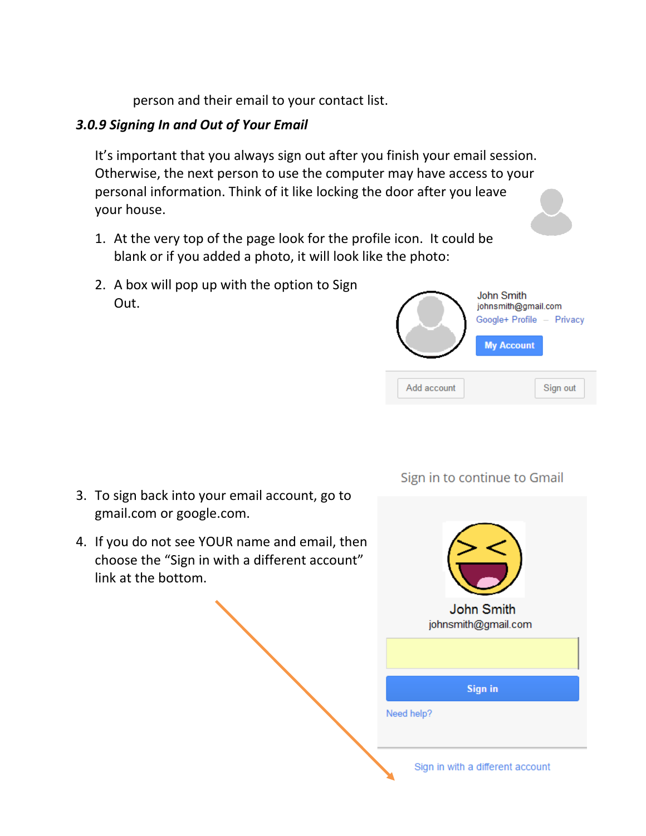person and their email to your contact list.

### *3.0.9 Signing In and Out of Your Email*

It's important that you always sign out after you finish your email session. Otherwise, the next person to use the computer may have access to your personal information. Think of it like locking the door after you leave your house.

- 1. At the very top of the page look for the profile icon. It could be blank or if you added a photo, it will look like the photo:
- 2. A box will pop up with the option to Sign Out.



Sign in to continue to Gmail

- 3. To sign back into your email account, go to gmail.com or google.com.
- 4. If you do not see YOUR name and email, then choose the "Sign in with a different account" link at the bottom.

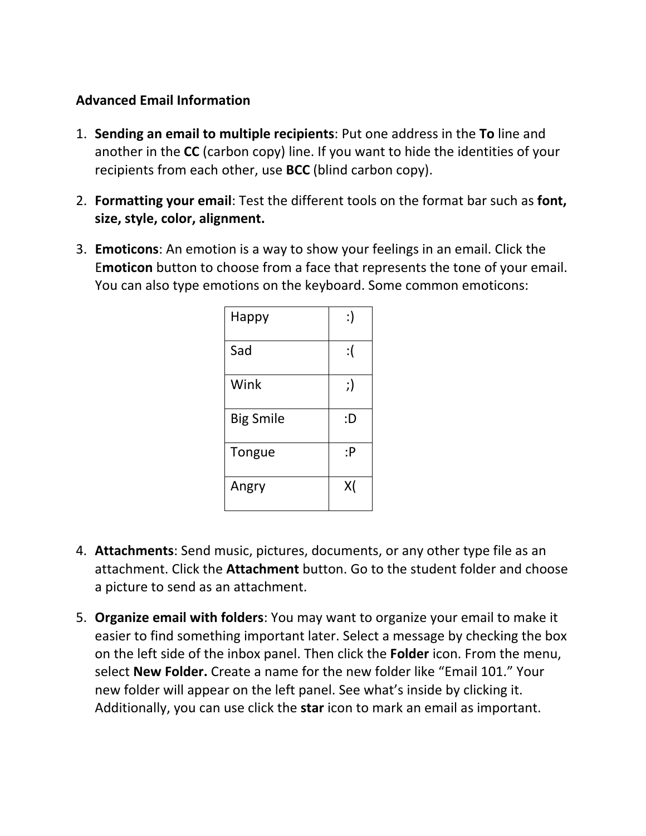### **Advanced Email Information**

- 1. **Sending an email to multiple recipients**: Put one address in the **To** line and another in the **CC** (carbon copy) line. If you want to hide the identities of your recipients from each other, use **BCC** (blind carbon copy).
- 2. **Formatting your email**: Test the different tools on the format bar such as **font, size, style, color, alignment.**
- 3. **Emoticons**: An emotion is a way to show your feelings in an email. Click the E**moticon** button to choose from a face that represents the tone of your email. You can also type emotions on the keyboard. Some common emoticons:

| Happy            | :) |
|------------------|----|
| Sad              | :( |
| Wink             | ;) |
| <b>Big Smile</b> | :D |
| Tongue           | :P |
| Angry            | X( |

- 4. **Attachments**: Send music, pictures, documents, or any other type file as an attachment. Click the **Attachment** button. Go to the student folder and choose a picture to send as an attachment.
- 5. **Organize email with folders**: You may want to organize your email to make it easier to find something important later. Select a message by checking the box on the left side of the inbox panel. Then click the **Folder** icon. From the menu, select **New Folder.** Create a name for the new folder like "Email 101." Your new folder will appear on the left panel. See what's inside by clicking it. Additionally, you can use click the **star** icon to mark an email as important.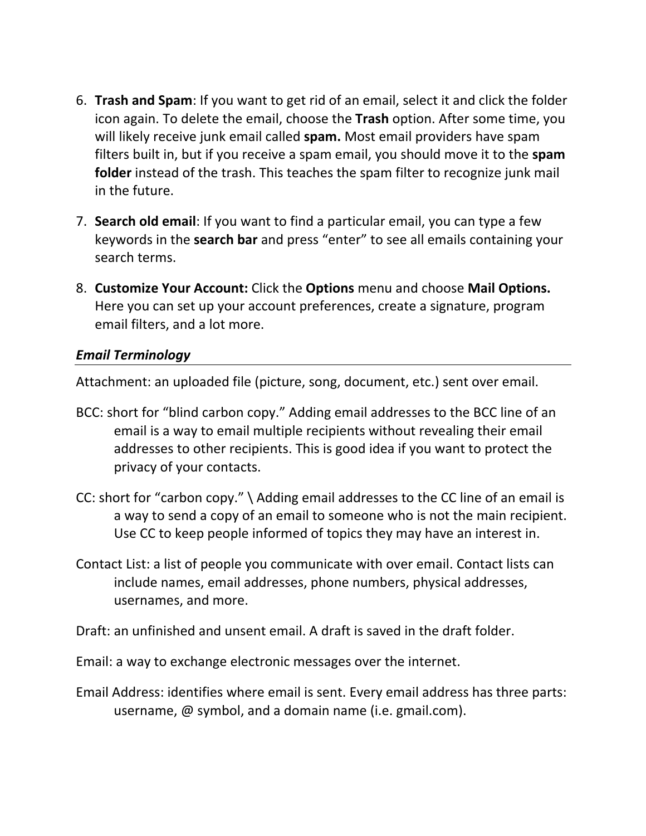- 6. **Trash and Spam**: If you want to get rid of an email, select it and click the folder icon again. To delete the email, choose the **Trash** option. After some time, you will likely receive junk email called **spam.** Most email providers have spam filters built in, but if you receive a spam email, you should move it to the **spam folder** instead of the trash. This teaches the spam filter to recognize junk mail in the future.
- 7. **Search old email**: If you want to find a particular email, you can type a few keywords in the **search bar** and press "enter" to see all emails containing your search terms.
- 8. **Customize Your Account:** Click the **Options** menu and choose **Mail Options.**  Here you can set up your account preferences, create a signature, program email filters, and a lot more.

#### *Email Terminology*

Attachment: an uploaded file (picture, song, document, etc.) sent over email.

- BCC: short for "blind carbon copy." Adding email addresses to the BCC line of an email is a way to email multiple recipients without revealing their email addresses to other recipients. This is good idea if you want to protect the privacy of your contacts.
- CC: short for "carbon copy." \ Adding email addresses to the CC line of an email is a way to send a copy of an email to someone who is not the main recipient. Use CC to keep people informed of topics they may have an interest in.
- Contact List: a list of people you communicate with over email. Contact lists can include names, email addresses, phone numbers, physical addresses, usernames, and more.
- Draft: an unfinished and unsent email. A draft is saved in the draft folder.
- Email: a way to exchange electronic messages over the internet.
- Email Address: identifies where email is sent. Every email address has three parts: username, @ symbol, and a domain name (i.e. gmail.com).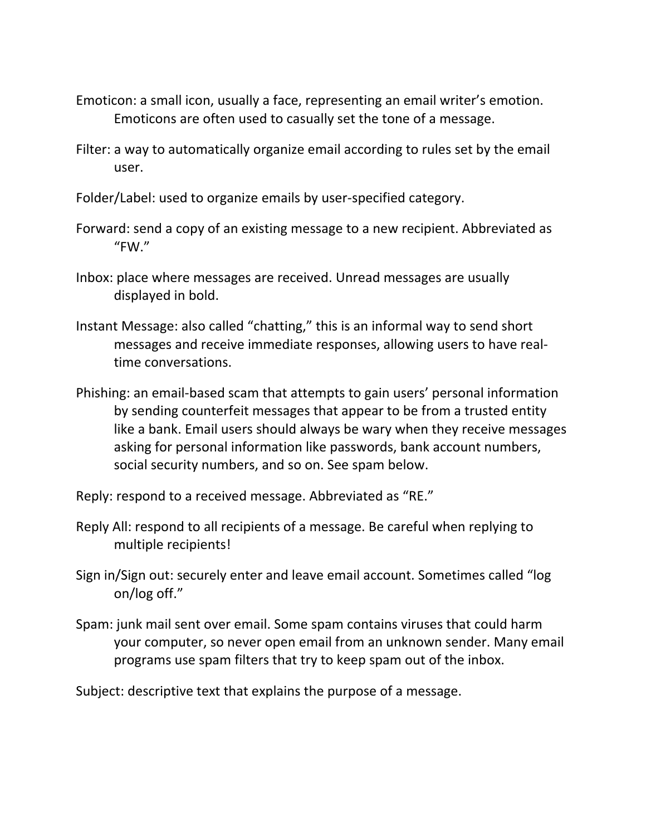- Emoticon: a small icon, usually a face, representing an email writer's emotion. Emoticons are often used to casually set the tone of a message.
- Filter: a way to automatically organize email according to rules set by the email user.
- Folder/Label: used to organize emails by user-specified category.
- Forward: send a copy of an existing message to a new recipient. Abbreviated as "FW."
- Inbox: place where messages are received. Unread messages are usually displayed in bold.
- Instant Message: also called "chatting," this is an informal way to send short messages and receive immediate responses, allowing users to have realtime conversations.
- Phishing: an email-based scam that attempts to gain users' personal information by sending counterfeit messages that appear to be from a trusted entity like a bank. Email users should always be wary when they receive messages asking for personal information like passwords, bank account numbers, social security numbers, and so on. See spam below.
- Reply: respond to a received message. Abbreviated as "RE."
- Reply All: respond to all recipients of a message. Be careful when replying to multiple recipients!
- Sign in/Sign out: securely enter and leave email account. Sometimes called "log on/log off."
- Spam: junk mail sent over email. Some spam contains viruses that could harm your computer, so never open email from an unknown sender. Many email programs use spam filters that try to keep spam out of the inbox.

Subject: descriptive text that explains the purpose of a message.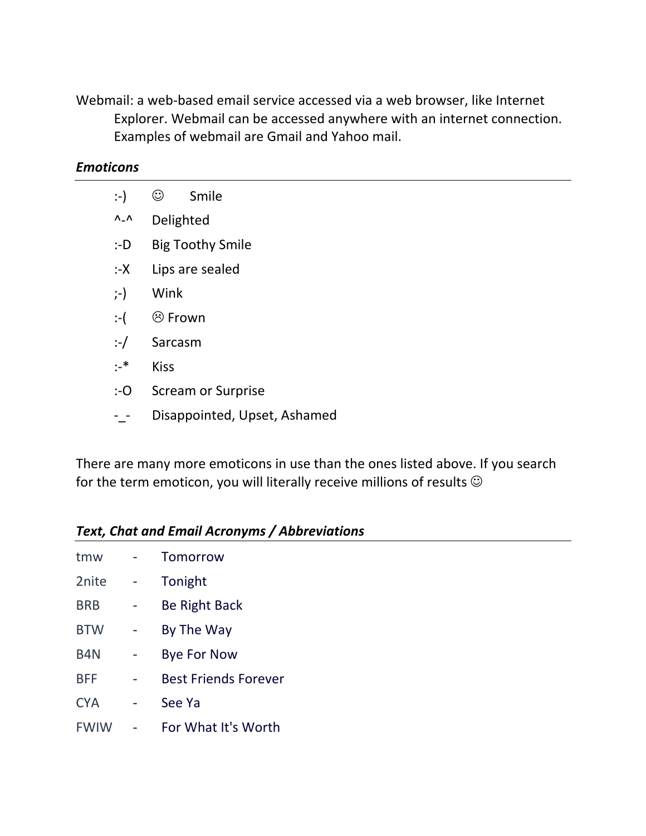Webmail: a web-based email service accessed via a web browser, like Internet Explorer. Webmail can be accessed anywhere with an internet connection. Examples of webmail are Gmail and Yahoo mail.

#### *Emoticons*

| :-)                | $_{\mathbb{O}}$<br>Smile     |  |  |  |
|--------------------|------------------------------|--|--|--|
| $\Lambda_-\Lambda$ | Delighted                    |  |  |  |
| : D                | <b>Big Toothy Smile</b>      |  |  |  |
| :-X                | Lips are sealed              |  |  |  |
| $\left( -\right)$  | Wink                         |  |  |  |
| $:$ $\vdots$       | <b><sup>⊙</sup>Frown</b>     |  |  |  |
| $:$ $\frac{1}{2}$  | Sarcasm                      |  |  |  |
| $:$ *              | <b>Kiss</b>                  |  |  |  |
| $: -O$             | <b>Scream or Surprise</b>    |  |  |  |
|                    | Disappointed, Upset, Ashamed |  |  |  |

There are many more emoticons in use than the ones listed above. If you search for the term emoticon, you will literally receive millions of results  $\odot$ 

#### *Text, Chat and Email Acronyms / Abbreviations*

| tmw              | Tomorrow                    |
|------------------|-----------------------------|
| 2nite            | Tonight                     |
| <b>BRB</b>       | Be Right Back               |
| <b>BTW</b>       | By The Way                  |
| B <sub>4</sub> N | <b>Bye For Now</b>          |
| <b>BFF</b>       | <b>Best Friends Forever</b> |
| <b>CYA</b>       | See Ya                      |
| <b>FWIW</b>      | For What It's Worth         |